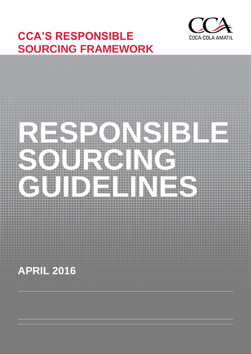

# **CCA'S RESPONSIBLE SOURCING FRAMEWORK**

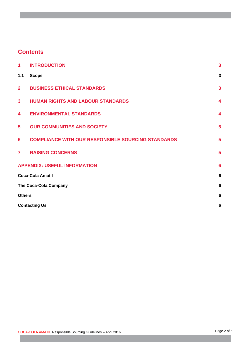# **Contents**

| 1                                   | <b>INTRODUCTION</b>                                       | $\overline{\mathbf{3}}$ |
|-------------------------------------|-----------------------------------------------------------|-------------------------|
| 1.1                                 | <b>Scope</b>                                              | $\mathbf{3}$            |
| 2 <sup>1</sup>                      | <b>BUSINESS ETHICAL STANDARDS</b>                         | $\overline{\mathbf{3}}$ |
| $\overline{\mathbf{3}}$             | <b>HUMAN RIGHTS AND LABOUR STANDARDS</b>                  | $\overline{\mathbf{4}}$ |
| 4                                   | <b>ENVIRONMENTAL STANDARDS</b>                            | $\overline{\mathbf{4}}$ |
| 5                                   | <b>OUR COMMUNITIES AND SOCIETY</b>                        | 5                       |
| 6                                   | <b>COMPLIANCE WITH OUR RESPONSIBLE SOURCING STANDARDS</b> | $5\phantom{1}$          |
| $\overline{7}$                      | <b>RAISING CONCERNS</b>                                   | 5                       |
| <b>APPENDIX: USEFUL INFORMATION</b> |                                                           | $6\phantom{1}6$         |
| <b>Coca-Cola Amatil</b>             |                                                           | $6\phantom{1}6$         |
| <b>The Coca-Cola Company</b>        |                                                           | $6\phantom{1}6$         |
| <b>Others</b>                       |                                                           | $6\phantom{1}6$         |
| <b>Contacting Us</b>                |                                                           | $6\phantom{1}6$         |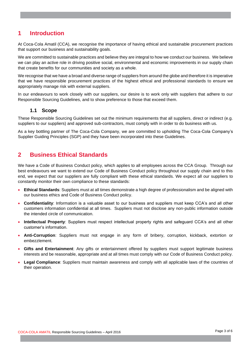## <span id="page-2-0"></span>**1 Introduction**

At Coca-Cola Amatil (CCA), we recognise the importance of having ethical and sustainable procurement practices that support our business and sustainability goals.

We are committed to sustainable practices and believe they are integral to how we conduct our business. We believe we can play an active role in driving positive social, environmental and economic improvements in our supply chain that create benefits for our communities and society as a whole.

We recognise that we have a broad and diverse range of suppliers from around the globe and therefore it is imperative that we have responsible procurement practices of the highest ethical and professional standards to ensure we appropriately manage risk with external suppliers.

In our endeavours to work closely with our suppliers, our desire is to work only with suppliers that adhere to our Responsible Sourcing Guidelines, and to show preference to those that exceed them.

#### **1.1 Scope**

<span id="page-2-1"></span>These Responsible Sourcing Guidelines set out the minimum requirements that all suppliers, direct or indirect (e.g. suppliers to our suppliers) and approved sub-contractors, must comply with in order to do business with us.

As a key bottling partner of The Coca-Cola Company, we are committed to upholding The Coca-Cola Company's Supplier Guiding Principles (SGP) and they have been incorporated into these Guidelines.

## <span id="page-2-2"></span>**2 Business Ethical Standards**

We have a Code of Business Conduct policy, which applies to all employees across the CCA Group. Through our best endeavours we want to extend our Code of Business Conduct policy throughout our supply chain and to this end, we expect that our suppliers are fully compliant with these ethical standards. We expect all our suppliers to constantly monitor their own compliance to these standards:

- **Ethical Standards**: Suppliers must at all times demonstrate a high degree of professionalism and be aligned with our business ethics and Code of Business Conduct policy.
- **Confidentiality**: Information is a valuable asset to our business and suppliers must keep CCA's and all other customers information confidential at all times. Suppliers must not disclose any non-public information outside the intended circle of communication.
- **Intellectual Property**: Suppliers must respect intellectual property rights and safeguard CCA's and all other customer's information.
- **Anti-Corruption**: Suppliers must not engage in any form of bribery, corruption, kickback, extortion or embezzlement.
- **Gifts and Entertainment**: Any gifts or entertainment offered by suppliers must support legitimate business interests and be reasonable, appropriate and at all times must comply with our Code of Business Conduct policy.
- **Legal Compliance**: Suppliers must maintain awareness and comply with all applicable laws of the countries of their operation.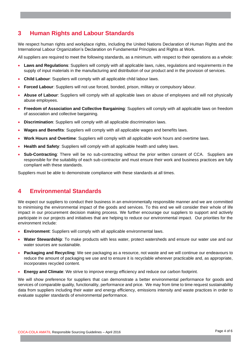# <span id="page-3-0"></span>**3 Human Rights and Labour Standards**

We respect human rights and workplace rights, including the United Nations Declaration of Human Rights and the International Labour Organization's Declaration on Fundamental Principles and Rights at Work.

All suppliers are required to meet the following standards, as a minimum, with respect to their operations as a whole:

- **Laws and Regulations**: Suppliers will comply with all applicable laws, rules, regulations and requirements in the supply of input materials in the manufacturing and distribution of our product and in the provision of services.
- **Child Labour**: Suppliers will comply with all applicable child labour laws.
- **Forced Labour**: Suppliers will not use forced, bonded, prison, military or compulsory labour.
- **Abuse of Labour**: Suppliers will comply with all applicable laws on abuse of employees and will not physically abuse employees.
- **Freedom of Association and Collective Bargaining**: Suppliers will comply with all applicable laws on freedom of association and collective bargaining.
- **Discrimination**: Suppliers will comply with all applicable discrimination laws.
- **Wages and Benefits**: Suppliers will comply with all applicable wages and benefits laws.
- **Work Hours and Overtime**: Suppliers will comply with all applicable work hours and overtime laws.
- **Health and Safety**: Suppliers will comply with all applicable health and safety laws.
- **Sub-Contracting**: There will be no sub-contracting without the prior written consent of CCA. Suppliers are responsible for the suitability of each sub-contractor and must ensure their work and business practices are fully compliant with these standards.

<span id="page-3-1"></span>Suppliers must be able to demonstrate compliance with these standards at all times.

## **4 Environmental Standards**

We expect our suppliers to conduct their business in an environmentally responsible manner and we are committed to minimising the environmental impact of the goods and services. To this end we will consider their whole of life impact in our procurement decision making process. We further encourage our suppliers to support and actively participate in our projects and initiatives that are helping to reduce our environmental impact. Our priorities for the environment include:

- **Environment**: Suppliers will comply with all applicable environmental laws.
- **Water Stewardship**: To make products with less water, protect watersheds and ensure our water use and our water sources are sustainable.
- **Packaging and Recycling**: We see packaging as a resource, not waste and we will continue our endeavours to reduce the amount of packaging we use and to ensure it is recyclable wherever practicable and, as appropriate, incorporates recycled content.
- **Energy and Climate**: We strive to improve energy efficiency and reduce our carbon footprint.

We will show preference for suppliers that can demonstrate a better environmental performance for goods and services of comparable quality, functionality, performance and price. We may from time to time request sustainability data from suppliers including their water and energy efficiency, emissions intensity and waste practices in order to evaluate supplier standards of environmental performance.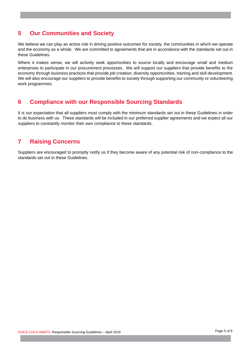# <span id="page-4-0"></span>**5 Our Communities and Society**

We believe we can play an active role in driving positive outcomes for society, the communities in which we operate and the economy as a whole. We are committed to agreements that are in accordance with the standards set out in these Guidelines.

Where it makes sense, we will actively seek opportunities to source locally and encourage small and medium enterprises to participate in our procurement processes. We will support our suppliers that provide benefits to the economy through business practices that provide job creation, diversity opportunities, training and skill development. We will also encourage our suppliers to provide benefits to society through supporting our community or volunteering work programmes.

## <span id="page-4-1"></span>**6 Compliance with our Responsible Sourcing Standards**

It is our expectation that all suppliers must comply with the minimum standards set out in these Guidelines in order to do business with us. These standards will be included in our preferred supplier agreements and we expect all our suppliers to constantly monitor their own compliance to these standards.

# <span id="page-4-2"></span>**7 Raising Concerns**

Suppliers are encouraged to promptly notify us if they become aware of any potential risk of non-compliance to the standards set out in these Guidelines.